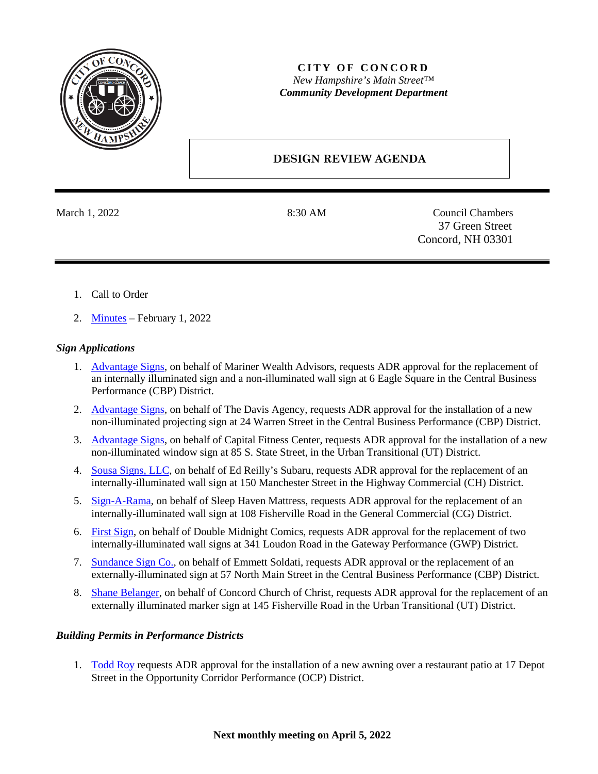

## **CITY OF CONCORD** *New Hampshire's Main Street™ Community Development Department*

# **DESIGN REVIEW AGENDA**

March 1, 2022 **8:30 AM** Council Chambers 37 Green Street Concord, NH 03301

- 1. Call to Order
- 2. [Minutes](https://www.concordnh.gov/Archive.aspx?ADID=5824) February 1, 2022

### *Sign Applications*

- 1. [Advantage Signs,](https://www.concordnh.gov/DocumentCenter/View/18438/6-Eagle-Sq---Mariner-Wealth---2-for-ADR) on behalf of Mariner Wealth Advisors, requests ADR approval for the replacement of an internally illuminated sign and a non-illuminated wall sign at 6 Eagle Square in the Central Business Performance (CBP) District.
- 2. [Advantage Signs,](https://www.concordnh.gov/DocumentCenter/View/18433/24-Warren-St---Davis-Agency---1-sign) on behalf of The Davis Agency, requests ADR approval for the installation of a new non-illuminated projecting sign at 24 Warren Street in the Central Business Performance (CBP) District.
- 3. [Advantage Signs,](https://www.concordnh.gov/DocumentCenter/View/18439/85-S-State-St---Capital-Fitness---1-for-ADR) on behalf of Capital Fitness Center, requests ADR approval for the installation of a new non-illuminated window sign at 85 S. State Street, in the Urban Transitional (UT) District.
- 4. [Sousa Signs, LLC,](https://www.concordnh.gov/DocumentCenter/View/18436/150-Manchester---Capital-City-Subaru---1-sign) on behalf of Ed Reilly's Subaru, requests ADR approval for the replacement of an internally-illuminated wall sign at 150 Manchester Street in the Highway Commercial (CH) District.
- 5. [Sign-A-Rama,](https://www.concordnh.gov/DocumentCenter/View/18435/108-Fisherville-Rd---Sleep-Haven---1-for-ADR) on behalf of Sleep Haven Mattress, requests ADR approval for the replacement of an internally-illuminated wall sign at 108 Fisherville Road in the General Commercial (CG) District.
- 6. [First Sign,](https://www.concordnh.gov/DocumentCenter/View/18437/341-Loudon---Double-Midnight---2-building-sign) on behalf of Double Midnight Comics, requests ADR approval for the replacement of two internally-illuminated wall signs at 341 Loudon Road in the Gateway Performance (GWP) District.
- 7. [Sundance Sign Co.,](https://www.concordnh.gov/DocumentCenter/View/18434/57-N-Main-St---Teatotaller---1-for-ADR) on behalf of Emmett Soldati, requests ADR approval or the replacement of an externally-illuminated sign at 57 North Main Street in the Central Business Performance (CBP) District.
- 8. [Shane Belanger,](https://www.concordnh.gov/DocumentCenter/View/18449/145-Fisherville---Concord-Church-of-Christ---1-for-ADR) on behalf of Concord Church of Christ, requests ADR approval for the replacement of an externally illuminated marker sign at 145 Fisherville Road in the Urban Transitional (UT) District.

#### *Building Permits in Performance Districts*

1. [Todd Roy](https://www.concordnh.gov/DocumentCenter/View/18480/Cheers) requests ADR approval for the installation of a new awning over a restaurant patio at 17 Depot Street in the Opportunity Corridor Performance (OCP) District.